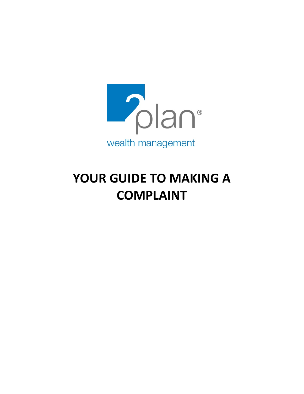

# **YOUR GUIDE TO MAKING A COMPLAINT**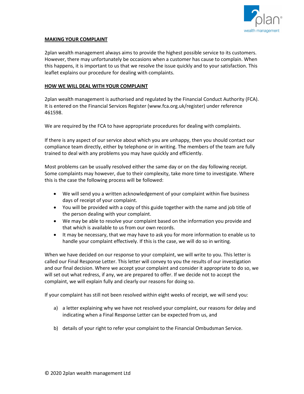

# **MAKING YOUR COMPLAINT**

2plan wealth management always aims to provide the highest possible service to its customers. However, there may unfortunately be occasions when a customer has cause to complain. When this happens, it is important to us that we resolve the issue quickly and to your satisfaction. This leaflet explains our procedure for dealing with complaints.

## **HOW WE WILL DEAL WITH YOUR COMPLAINT**

2plan wealth management is authorised and regulated by the Financial Conduct Authority (FCA). It is entered on the Financial Services Register (www.fca.org.uk/register) under reference 461598.

We are required by the FCA to have appropriate procedures for dealing with complaints.

If there is any aspect of our service about which you are unhappy, then you should contact our compliance team directly, either by telephone or in writing. The members of the team are fully trained to deal with any problems you may have quickly and efficiently.

Most problems can be usually resolved either the same day or on the day following receipt. Some complaints may however, due to their complexity, take more time to investigate. Where this is the case the following process will be followed:

- We will send you a written acknowledgement of your complaint within five business days of receipt of your complaint.
- You will be provided with a copy of this guide together with the name and job title of the person dealing with your complaint.
- We may be able to resolve your complaint based on the information you provide and that which is available to us from our own records.
- It may be necessary, that we may have to ask you for more information to enable us to handle your complaint effectively. If this is the case, we will do so in writing.

When we have decided on our response to your complaint, we will write to you. This letter is called our Final Response Letter. This letter will convey to you the results of our investigation and our final decision. Where we accept your complaint and consider it appropriate to do so, we will set out what redress, if any, we are prepared to offer. If we decide not to accept the complaint, we will explain fully and clearly our reasons for doing so.

If your complaint has still not been resolved within eight weeks of receipt, we will send you:

- a) a letter explaining why we have not resolved your complaint, our reasons for delay and indicating when a Final Response Letter can be expected from us, and
- b) details of your right to refer your complaint to the Financial Ombudsman Service.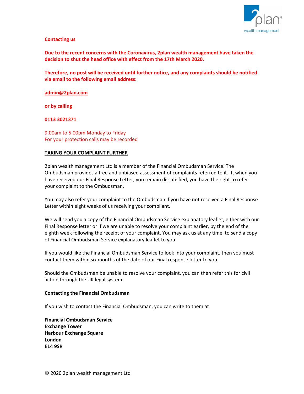

## **Contacting us**

**Due to the recent concerns with the Coronavirus, 2plan wealth management have taken the decision to shut the head office with effect from the 17th March 2020.**

**Therefore, no post will be received until further notice, and any complaints should be notified via email to the following email address:**

#### **[admin@2plan.com](mailto:admin@2plan.com)**

**or by calling**

# **0113 3021371**

9.00am to 5.00pm Monday to Friday For your protection calls may be recorded

## **TAKING YOUR COMPLAINT FURTHER**

2plan wealth management Ltd is a member of the Financial Ombudsman Service. The Ombudsman provides a free and unbiased assessment of complaints referred to it. If, when you have received our Final Response Letter, you remain dissatisfied, you have the right to refer your complaint to the Ombudsman.

You may also refer your complaint to the Ombudsman if you have not received a Final Response Letter within eight weeks of us receiving your compliant.

We will send you a copy of the Financial Ombudsman Service explanatory leaflet, either with our Final Response letter or if we are unable to resolve your complaint earlier, by the end of the eighth week following the receipt of your complaint. You may ask us at any time, to send a copy of Financial Ombudsman Service explanatory leaflet to you.

If you would like the Financial Ombudsman Service to look into your complaint, then you must contact them within six months of the date of our Final response letter to you.

Should the Ombudsman be unable to resolve your complaint, you can then refer this for civil action through the UK legal system.

#### **Contacting the Financial Ombudsman**

If you wish to contact the Financial Ombudsman, you can write to them at

**Financial Ombudsman Service Exchange Tower Harbour Exchange Square London E14 9SR**